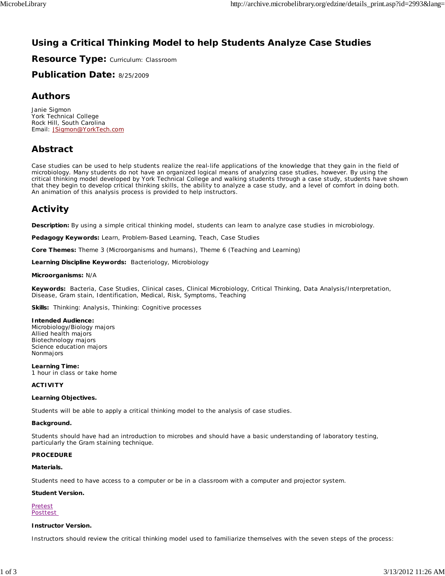# **Using a Critical Thinking Model to help Students Analyze Case Studies**

**Resource Type:** Curriculum: Classroom

**Publication Date:** 8/25/2009

## **Authors**

*Janie Sigmon* York Technical College Rock Hill, South Carolina Email: JSigmon@YorkTech.com

# **Abstract**

Case studies can be used to help students realize the real-life applications of the knowledge that they gain in the field of microbiology. Many students do not have an organized logical means of analyzing case studies, however. By using the critical thinking model developed by York Technical College and walking students through a case study, students have shown that they begin to develop critical thinking skills, the ability to analyze a case study, and a level of comfort in doing both. An animation of this analysis process is provided to help instructors.

# **Activity**

**Description:** By using a simple critical thinking model, students can learn to analyze case studies in microbiology.

**Pedagogy Keywords:** Learn, Problem-Based Learning, Teach, Case Studies

**Core Themes:** Theme 3 (Microorganisms and humans), Theme 6 (Teaching and Learning)

**Learning Discipline Keywords:** Bacteriology, Microbiology

#### **Microorganisms:** N/A

**Keywords:** Bacteria, Case Studies, Clinical cases, Clinical Microbiology, Critical Thinking, Data Analysis/Interpretation, Disease, Gram stain, Identification, Medical, Risk, Symptoms, Teaching

**Skills:** Thinking: Analysis, Thinking: Cognitive processes

#### **Intended Audience:**

Microbiology/Biology majors Allied health majors Biotechnology majors Science education majors Nonmajors

**Learning Time:** 1 hour in class or take home

#### **ACTIVITY**

#### **Learning Objectives.**

Students will be able to apply a critical thinking model to the analysis of case studies.

#### **Background.**

Students should have had an introduction to microbes and should have a basic understanding of laboratory testing, particularly the Gram staining technique.

#### **PROCEDURE**

#### **Materials.**

Students need to have access to a computer or be in a classroom with a computer and projector system.

#### **Student Version.**

**Pretest** Posttest

#### **Instructor Version.**

Instructors should review the critical thinking model used to familiarize themselves with the seven steps of the process: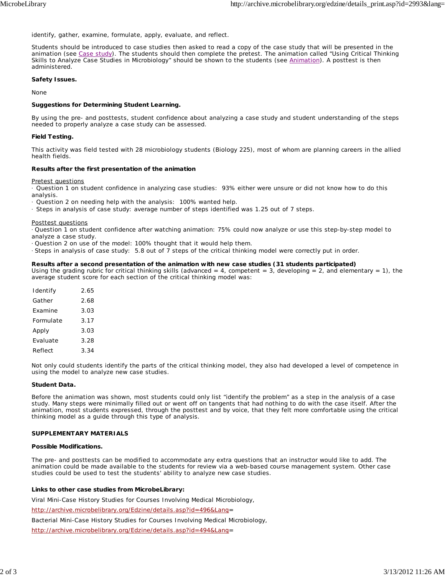identify, gather, examine, formulate, apply, evaluate, and reflect.

Students should be introduced to case studies then asked to read a copy of the case study that will be presented in the animation (see Case study). The students should then complete the pretest. The animation called "Using Critical Thinking Skills to Analyze Case Studies in Microbiology" should be shown to the students (see Animation). A posttest is then administered.

#### **Safety Issues.**

None

#### **Suggestions for Determining Student Learning.**

By using the pre- and posttests, student confidence about analyzing a case study and student understanding of the steps needed to properly analyze a case study can be assessed.

#### **Field Testing.**

This activity was field tested with 28 microbiology students (Biology 225), most of whom are planning careers in the allied health fields.

#### **Results after the first presentation of the animation**

Pretest questions

· Question 1 on student confidence in analyzing case studies: 93% either were unsure or did not know how to do this analysis.

· Question 2 on needing help with the analysis: 100% wanted help.

· Steps in analysis of case study: average number of steps identified was 1.25 out of 7 steps.

#### Posttest questions

· Question 1 on student confidence after watching animation: 75% could now analyze or use this step-by-step model to analyze a case study.

· Question 2 on use of the model: 100% thought that it would help them.

· Steps in analysis of case study: 5.8 out of 7 steps of the critical thinking model were correctly put in order.

#### **Results after a second presentation of the animation with new case studies (31 students participated)**

Using the grading rubric for critical thinking skills (advanced = 4, competent = 3, developing = 2, and elementary = 1), the average student score for each section of the critical thinking model was:

| Identify  | 2.65 |
|-----------|------|
| Gather    | 2.68 |
| Fxamine   | 3.03 |
| Formulate | 3.17 |
| Apply     | 3.03 |
| Fvaluate  | 3.28 |
| Reflect   | 3.34 |

Not only could students identify the parts of the critical thinking model, they also had developed a level of competence in using the model to analyze new case studies.

#### **Student Data.**

Before the animation was shown, most students could only list "identify the problem" as a step in the analysis of a case study. Many steps were minimally filled out or went off on tangents that had nothing to do with the case itself. After the animation, most students expressed, through the posttest and by voice, that they felt more comfortable using the critical thinking model as a guide through this type of analysis.

#### **SUPPLEMENTARY MATERIALS**

#### **Possible Modifications.**

The pre- and posttests can be modified to accommodate any extra questions that an instructor would like to add. The animation could be made available to the students for review via a web-based course management system. Other case studies could be used to test the students' ability to analyze new case studies.

#### **Links to other case studies from MicrobeLibrary:**

Viral Mini-Case History Studies for Courses Involving Medical Microbiology,

http://archive.microbelibrary.org/Edzine/details.asp?id=496&Lang=

Bacterial Mini-Case History Studies for Courses Involving Medical Microbiology,

http://archive.microbelibrary.org/Edzine/details.asp?id=494&Lang=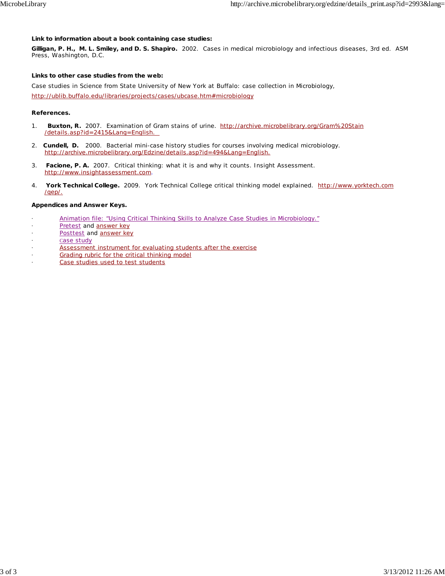#### **Link to information about a book containing case studies:**

**Gilligan, P. H., M. L. Smiley, and D. S. Shapiro.** 2002. Cases in medical microbiology and infectious diseases, 3rd ed. ASM Press, Washington, D.C.

#### **Links to other case studies from the web:**

Case studies in Science from State University of New York at Buffalo: case collection in Microbiology,

http://ublib.buffalo.edu/libraries/projects/cases/ubcase.htm#microbiology

#### **References.**

- 1. **Buxton, R.** 2007. Examination of Gram stains of urine. http://archive.microbelibrary.org/Gram%20Stain /details.asp?id=2415&Lang=English.
- 2. **Cundell, D.** 2000. Bacterial mini-case history studies for courses involving medical microbiology. http://archive.microbelibrary.org/Edzine/details.asp?id=494&Lang=English.
- 3. **Facione, P. A.** 2007. Critical thinking: what it is and why it counts. Insight Assessment. http://www.insightassessment.com.
- 4. **York Technical College.** 2009. York Technical College critical thinking model explained. http://www.yorktech.com /qep/.

#### **Appendices and Answer Keys.**

- Animation file: "Using Critical Thinking Skills to Analyze Case Studies in Microbiology."
- Pretest and answer key
- Posttest and answer key
- Case study
- Assessment instrument for evaluating students after the exercise
- Grading rubric for the critical thinking model
- Case studies used to test students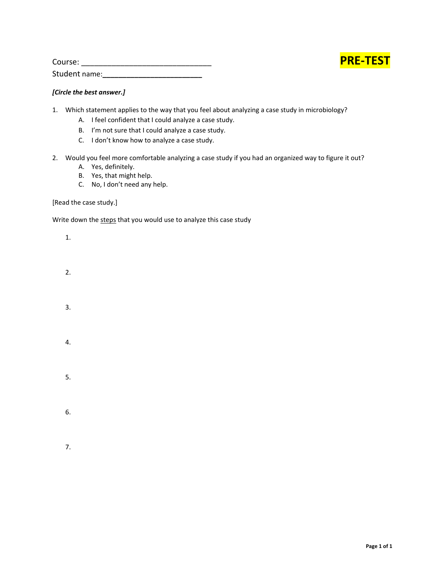

| Course:       |  |
|---------------|--|
| Student name: |  |

### *[Circle the best answer.]*

- 1. Which statement applies to the way that you feel about analyzing a case study in microbiology?
	- A. I feel confident that I could analyze a case study.
	- B. I'm not sure that I could analyze a case study.
	- C. I don't know how to analyze a case study.
- 2. Would you feel more comfortable analyzing a case study if you had an organized way to figure it out?
	- A. Yes, definitely.
	- B. Yes, that might help.
	- C. No, I don't need any help.

[Read the case study.]

Write down the steps that you would use to analyze this case study

- 1.
- 2.
- 
- 
- 3.
- 4.

5.

6.

7.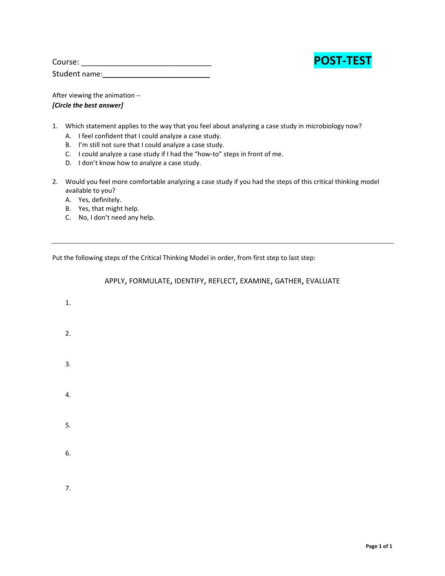

| Course:       | <b>POST-TEST</b> |
|---------------|------------------|
| Student name: |                  |

After viewing the animation ‐‐ *[Circle the best answer]*

- 1. Which statement applies to the way that you feel about analyzing a case study in microbiology now?
	- A. I feel confident that I could analyze a case study.
	- B. I'm still not sure that I could analyze a case study.
	- C. I could analyze a case study if I had the "how‐to" steps in front of me.
	- D. I don't know how to analyze a case study.
- 2. Would you feel more comfortable analyzing a case study if you had the steps of this critical thinking model available to you?

A. Yes, definitely.

- B. Yes, that might help.
- C. No, I don't need any help.

Put the following steps of the Critical Thinking Model in order, from first step to last step:

| 1.               |  |  |  |
|------------------|--|--|--|
| 2.               |  |  |  |
| $\overline{3}$ . |  |  |  |
| 4.               |  |  |  |
| 5.               |  |  |  |
| 6.               |  |  |  |
| 7.               |  |  |  |

APPLY, FORMULATE, IDENTIFY, REFLECT, EXAMINE, GATHER, EVALUATE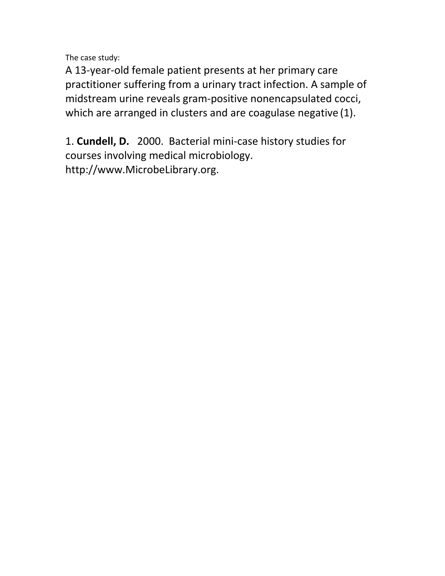The case study:

A 13‐year‐old female patient presents at her primary care practitioner suffering from a urinary tract infection. A sample of midstream urine reveals gram‐positive nonencapsulated cocci, which are arranged in clusters and are coagulase negative (1).

1. **Cundell, D.**2000.Bacterial mini‐case history studies for courses involving medical microbiology. http://www.MicrobeLibrary.org.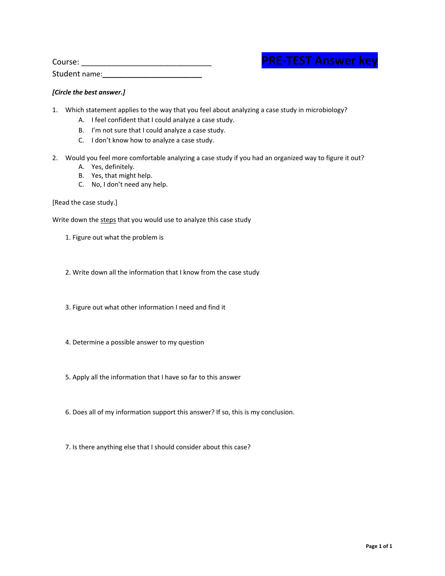| <b>PRE-TEST Answer key</b> |  |
|----------------------------|--|
|                            |  |

| Course:       | <b>RE-TEST Answer kev</b> |
|---------------|---------------------------|
| Student name: |                           |

#### *[Circle the best answer.]*

- 1. Which statement applies to the way that you feel about analyzing a case study in microbiology?
	- A. I feel confident that I could analyze a case study.
	- B. I'm not sure that I could analyze a case study.
	- C. I don't know how to analyze a case study.
- 2. Would you feel more comfortable analyzing a case study if you had an organized way to figure it out?
	- A. Yes, definitely.
	- B. Yes, that might help.
	- C. No, I don't need any help.

[Read the case study.]

Write down the steps that you would use to analyze this case study

- 1. Figure out what the problem is
- 2. Write down all the information that I know from the case study
- 3. Figure out what other information I need and find it
- 4. Determine a possible answer to my question
- 5. Apply all the information that I have so far to this answer
- 6. Does all of my information support this answer? If so, this is my conclusion.
- 7. Is there anything else that I should consider about this case?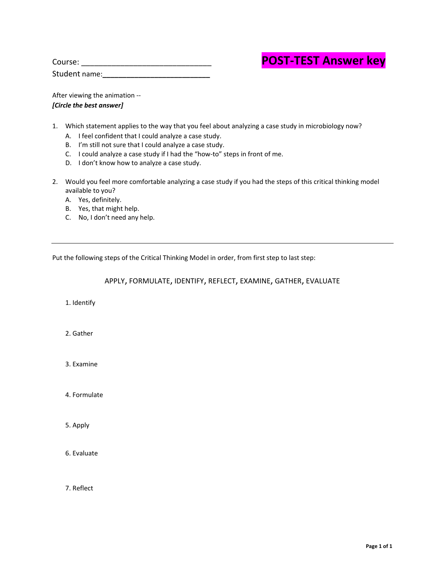| Course:       | <b>POST-TEST Answer key</b> |
|---------------|-----------------------------|
| Student name: |                             |

# **POST-TEST Answer key**

After viewing the animation ‐‐ *[Circle the best answer]*

- 1. Which statement applies to the way that you feel about analyzing a case study in microbiology now?
	- A. I feel confident that I could analyze a case study.
	- B. I'm still not sure that I could analyze a case study.
	- C. I could analyze a case study if I had the "how‐to" steps in front of me.
	- D. I don't know how to analyze a case study.
- 2. Would you feel more comfortable analyzing a case study if you had the steps of this critical thinking model available to you?
	- A. Yes, definitely.
	- B. Yes, that might help.
	- C. No, I don't need any help.

Put the following steps of the Critical Thinking Model in order, from first step to last step:

APPLY, FORMULATE, IDENTIFY, REFLECT, EXAMINE, GATHER, EVALUATE

1. Identify

2. Gather

3. Examine

4. Formulate

5. Apply

6. Evaluate

7. Reflect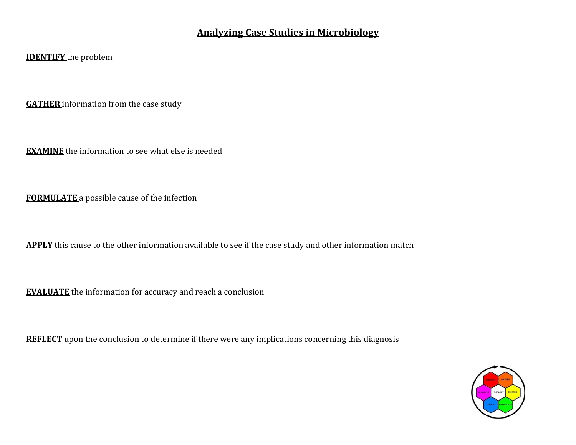# **Analyzing Case Studies in Microbiology**

# **IDENTIFY** the problem

**GATHER** information from the case study

**EXAMINE** the information to see what else is needed

**FORMULATE** a possible cause of the infection

**APPLY** this cause to the other information available to see if the case study and other information match

**EVALUATE** the information for accuracy and reach a conclusion

**REFLECT** upon the conclusion to determine if there were any implications concerning this diagnosis

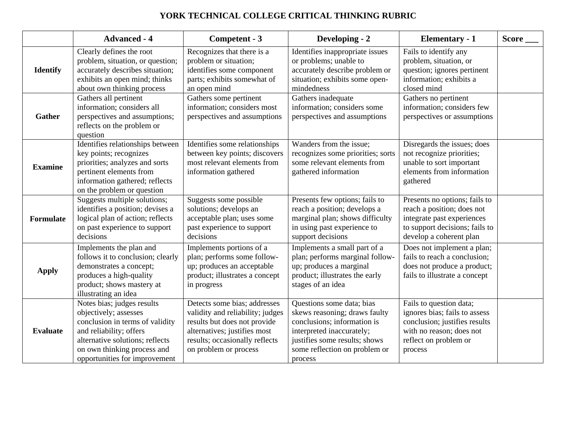# **YORK TECHNICAL COLLEGE CRITICAL THINKING RUBRIC**

|                 | <b>Advanced - 4</b>                                                                                                                                                                                                  | Competent - 3                                                                                                                                                                               | Developing - 2                                                                                                                                                                                      | <b>Elementary - 1</b>                                                                                                                                     | Score ___ |
|-----------------|----------------------------------------------------------------------------------------------------------------------------------------------------------------------------------------------------------------------|---------------------------------------------------------------------------------------------------------------------------------------------------------------------------------------------|-----------------------------------------------------------------------------------------------------------------------------------------------------------------------------------------------------|-----------------------------------------------------------------------------------------------------------------------------------------------------------|-----------|
| <b>Identify</b> | Clearly defines the root<br>problem, situation, or question;<br>accurately describes situation;<br>exhibits an open mind; thinks<br>about own thinking process                                                       | Recognizes that there is a<br>problem or situation;<br>identifies some component<br>parts; exhibits somewhat of<br>an open mind                                                             | Identifies inappropriate issues<br>or problems; unable to<br>accurately describe problem or<br>situation; exhibits some open-<br>mindedness                                                         | Fails to identify any<br>problem, situation, or<br>question; ignores pertinent<br>information; exhibits a<br>closed mind                                  |           |
| <b>Gather</b>   | Gathers all pertinent<br>information; considers all<br>perspectives and assumptions;<br>reflects on the problem or<br>question                                                                                       | Gathers some pertinent<br>information; considers most<br>perspectives and assumptions                                                                                                       | Gathers inadequate<br>information; considers some<br>perspectives and assumptions                                                                                                                   | Gathers no pertinent<br>information; considers few<br>perspectives or assumptions                                                                         |           |
| <b>Examine</b>  | Identifies relationships between<br>key points; recognizes<br>priorities; analyzes and sorts<br>pertinent elements from<br>information gathered; reflects<br>on the problem or question                              | Identifies some relationships<br>between key points; discovers<br>most relevant elements from<br>information gathered                                                                       | Wanders from the issue;<br>recognizes some priorities; sorts<br>some relevant elements from<br>gathered information                                                                                 | Disregards the issues; does<br>not recognize priorities;<br>unable to sort important<br>elements from information<br>gathered                             |           |
| Formulate       | Suggests multiple solutions;<br>identifies a position; devises a<br>logical plan of action; reflects<br>on past experience to support<br>decisions                                                                   | Suggests some possible<br>solutions; develops an<br>acceptable plan; uses some<br>past experience to support<br>decisions                                                                   | Presents few options; fails to<br>reach a position; develops a<br>marginal plan; shows difficulty<br>in using past experience to<br>support decisions                                               | Presents no options; fails to<br>reach a position; does not<br>integrate past experiences<br>to support decisions; fails to<br>develop a coherent plan    |           |
| <b>Apply</b>    | Implements the plan and<br>follows it to conclusion; clearly<br>demonstrates a concept;<br>produces a high-quality<br>product; shows mastery at<br>illustrating an idea                                              | Implements portions of a<br>plan; performs some follow-<br>up; produces an acceptable<br>product; illustrates a concept<br>in progress                                                      | Implements a small part of a<br>plan; performs marginal follow-<br>up; produces a marginal<br>product; illustrates the early<br>stages of an idea                                                   | Does not implement a plan;<br>fails to reach a conclusion;<br>does not produce a product;<br>fails to illustrate a concept                                |           |
| <b>Evaluate</b> | Notes bias; judges results<br>objectively; assesses<br>conclusion in terms of validity<br>and reliability; offers<br>alternative solutions; reflects<br>on own thinking process and<br>opportunities for improvement | Detects some bias; addresses<br>validity and reliability; judges<br>results but does not provide<br>alternatives; justifies most<br>results; occasionally reflects<br>on problem or process | Questions some data; bias<br>skews reasoning; draws faulty<br>conclusions; information is<br>interpreted inaccurately;<br>justifies some results; shows<br>some reflection on problem or<br>process | Fails to question data;<br>ignores bias; fails to assess<br>conclusion; justifies results<br>with no reason; does not<br>reflect on problem or<br>process |           |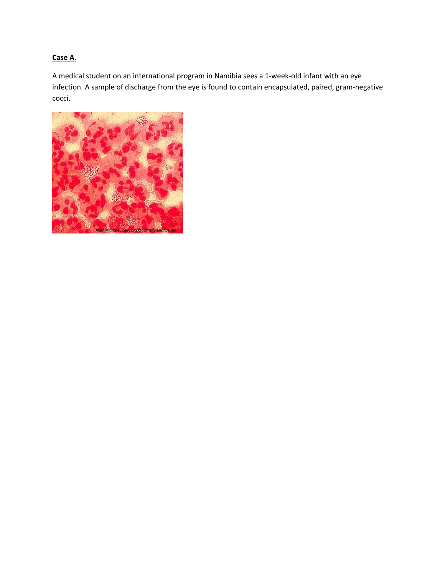# **Case A.**

A medical student on an international program in Namibia sees a 1‐week‐old infant with an eye infection. A sample of discharge from the eye is found to contain encapsulated, paired, gram‐negative cocci.

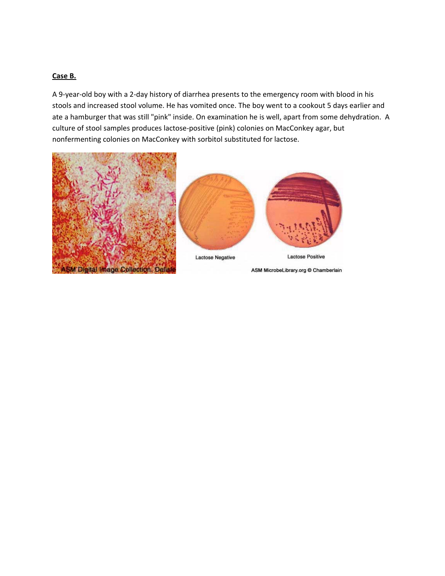### **Case B.**

A 9‐year‐old boy with a 2‐day history of diarrhea presents to the emergency room with blood in his stools and increased stool volume. He has vomited once. The boy went to a cookout 5 days earlier and ate a hamburger that was still "pink" inside. On examination he is well, apart from some dehydration. A culture of stool samples produces lactose‐positive (pink) colonies on MacConkey agar, but nonfermenting colonies on MacConkey with sorbitol substituted for lactose.



ASM MicrobeLibrary.org Chamberlain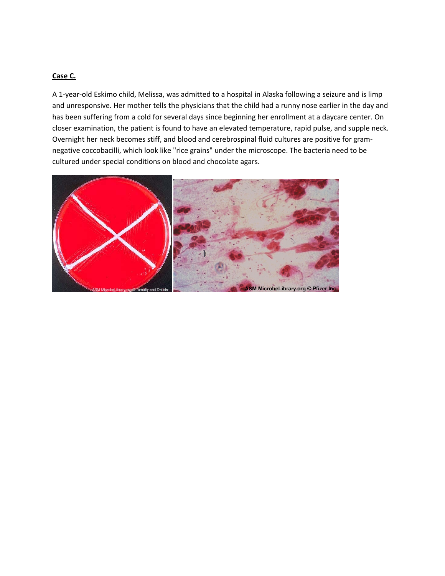### **Case C.**

A 1‐year‐old Eskimo child, Melissa, was admitted to a hospital in Alaska following a seizure and is limp and unresponsive. Her mother tells the physicians that the child had a runny nose earlier in the day and has been suffering from a cold for several days since beginning her enrollment at a daycare center. On closer examination, the patient is found to have an elevated temperature, rapid pulse, and supple neck. Overnight her neck becomes stiff, and blood and cerebrospinal fluid cultures are positive for gram‐ negative coccobacilli, which look like "rice grains" under the microscope. The bacteria need to be cultured under special conditions on blood and chocolate agars.

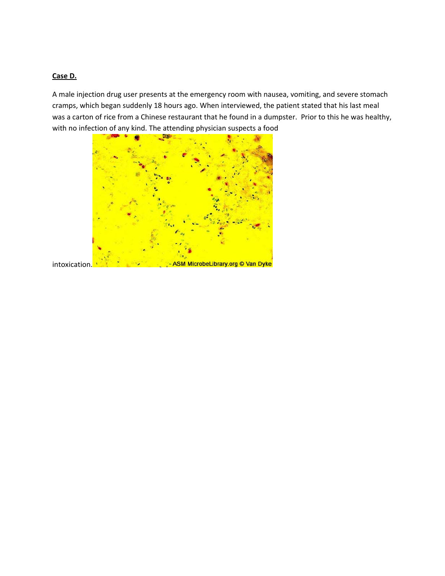### **Case D.**

A male injection drug user presents at the emergency room with nausea, vomiting, and severe stomach cramps, which began suddenly 18 hours ago. When interviewed, the patient stated that his last meal was a carton of rice from a Chinese restaurant that he found in a dumpster. Prior to this he was healthy, with no infection of any kind. The attending physician suspects a food

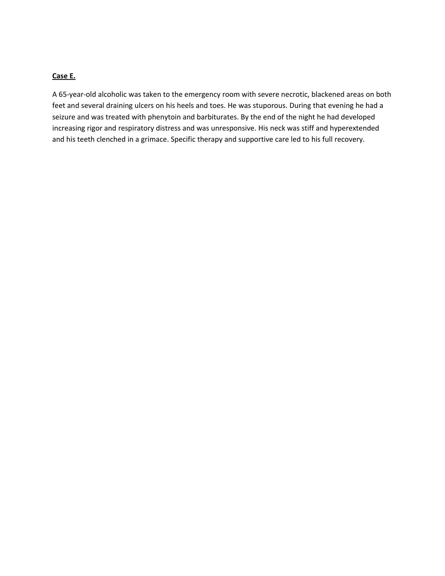### **Case E.**

A 65‐year‐old alcoholic was taken to the emergency room with severe necrotic, blackened areas on both feet and several draining ulcers on his heels and toes. He was stuporous. During that evening he had a seizure and was treated with phenytoin and barbiturates. By the end of the night he had developed increasing rigor and respiratory distress and was unresponsive. His neck was stiff and hyperextended and his teeth clenched in a grimace. Specific therapy and supportive care led to his full recovery.